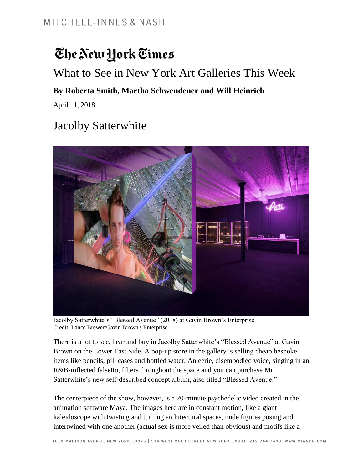# The New York Times

### What to See in New York Art Galleries This Week

#### **By Roberta Smith, Martha Schwendener and Will Heinrich**

April 11, 2018

## Jacolby Satterwhite



Jacolby Satterwhite's "Blessed Avenue" (2018) at Gavin Brown's Enterprise. Credit: Lance Brewer/Gavin Brown's Enterprise

There is a lot to see, hear and buy in Jacolby Satterwhite's "Blessed Avenue" at Gavin Brown on the Lower East Side. A pop-up store in the gallery is selling cheap bespoke items like pencils, pill cases and bottled water. An eerie, disembodied voice, singing in an R&B-inflected falsetto, filters throughout the space and you can purchase Mr. Satterwhite's new self-described concept album, also titled "Blessed Avenue."

The centerpiece of the show, however, is a 20-minute psychedelic video created in the animation software Maya. The images here are in constant motion, like a giant kaleidoscope with twisting and turning architectural spaces, nude figures posing and intertwined with one another (actual sex is more veiled than obvious) and motifs like a